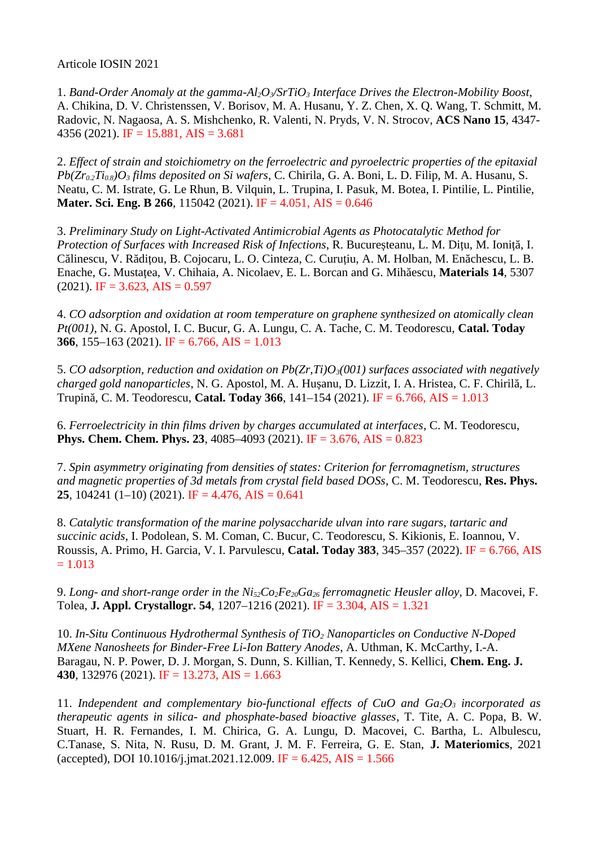Articole IOSIN 2021

1. *Band-Order Anomaly at the gamma-Al2O3/SrTiO3 Interface Drives the Electron-Mobility Boost*, A. Chikina, D. V. Christenssen, V. Borisov, M. A. Husanu, Y. Z. Chen, X. Q. Wang, T. Schmitt, M. Radovic, N. Nagaosa, A. S. Mishchenko, R. Valenti, N. Pryds, V. N. Strocov, **ACS Nano 15**, 4347- 4356 (2021). IF = 15.881, AIS = 3.681

2. *Effect of strain and stoichiometry on the ferroelectric and pyroelectric properties of the epitaxial Pb(Zr0.2Ti0.8)O3 films deposited on Si wafers*, C. Chirila, G. A. Boni, L. D. Filip, M. A. Husanu, S. Neatu, C. M. Istrate, G. Le Rhun, B. Vilquin, L. Trupina, I. Pasuk, M. Botea, I. Pintilie, L. Pintilie, **Mater. Sci. Eng. B 266**, 115042 (2021). IF = 4.051, AIS = 0.646

3. *Preliminary Study on Light-Activated Antimicrobial Agents as Photocatalytic Method for Protection of Surfaces with Increased Risk of Infections*, R. Bucureșteanu, L. M. Dițu, M. Ioniță, I. Călinescu, V. Rădițou, B. Cojocaru, L. O. Cinteza, C. Curuțiu, A. M. Holban, M. Enăchescu, L. B. Enache, G. Mustațea, V. Chihaia, A. Nicolaev, E. L. Borcan and G. Mihăescu, **Materials 14**, 5307  $(2021)$ . IF = 3.623, AIS = 0.597

4. *CO adsorption and oxidation at room temperature on graphene synthesized on atomically clean Pt(001)*, N. G. Apostol, I. C. Bucur, G. A. Lungu, C. A. Tache, C. M. Teodorescu, **Catal. Today 366**, 155–163 (2021). IF = 6.766, AIS = 1.013

5. *CO adsorption, reduction and oxidation on Pb(Zr,Ti)O3(001) surfaces associated with negatively charged gold nanoparticles*, N. G. Apostol, M. A. Hușanu, D. Lizzit, I. A. Hristea, C. F. Chirilă, L. Trupină, C. M. Teodorescu, **Catal. Today 366**, 141–154 (2021). IF = 6.766, AIS = 1.013

6. *Ferroelectricity in thin films driven by charges accumulated at interfaces*, C. M. Teodorescu, **Phys. Chem. Chem. Phys. 23**, 4085–4093 (2021). IF = 3.676, AIS = 0.823

7. *Spin asymmetry originating from densities of states: Criterion for ferromagnetism, structures and magnetic properties of 3d metals from crystal field based DOSs*, C. M. Teodorescu, **Res. Phys. 25**, 104241 (1–10) (2021). IF = 4.476, AIS = 0.641

8. *Catalytic transformation of the marine polysaccharide ulvan into rare sugars, tartaric and succinic acids*, I. Podolean, S. M. Coman, C. Bucur, C. Teodorescu, S. Kikionis, E. Ioannou, V. Roussis, A. Primo, H. Garcia, V. I. Parvulescu, **Catal. Today 383**, 345–357 (2022). IF = 6.766, AIS  $= 1.013$ 

9. *Long- and short-range order in the Ni52Co2Fe20Ga26 ferromagnetic Heusler alloy*, D. Macovei, F. Tolea, **J. Appl. Crystallogr. 54**, 1207–1216 (2021). IF = 3.304, AIS = 1.321

10. *In-Situ Continuous Hydrothermal Synthesis of TiO2 Nanoparticles on Conductive N-Doped MXene Nanosheets for Binder-Free Li-Ion Battery Anodes*, A. Uthman, K. McCarthy, I.-A. Baragau, N. P. Power, D. J. Morgan, S. Dunn, S. Killian, T. Kennedy, S. Kellici, **Chem. Eng. J. 430**, 132976 (2021). IF = 13.273, AIS = 1.663

11. *Independent and complementary bio-functional effects of CuO and Ga2O3 incorporated as therapeutic agents in silica- and phosphate-based bioactive glasses*, T. Tite, A. C. Popa, B. W. Stuart, H. R. Fernandes, I. M. Chirica, G. A. Lungu, D. Macovei, C. Bartha, L. Albulescu, C.Tanase, S. Nita, N. Rusu, D. M. Grant, J. M. F. Ferreira, G. E. Stan, **J. Materiomics**, 2021 (accepted), DOI 10.1016/j.jmat.2021.12.009. IF =  $6.425$ , AIS =  $1.566$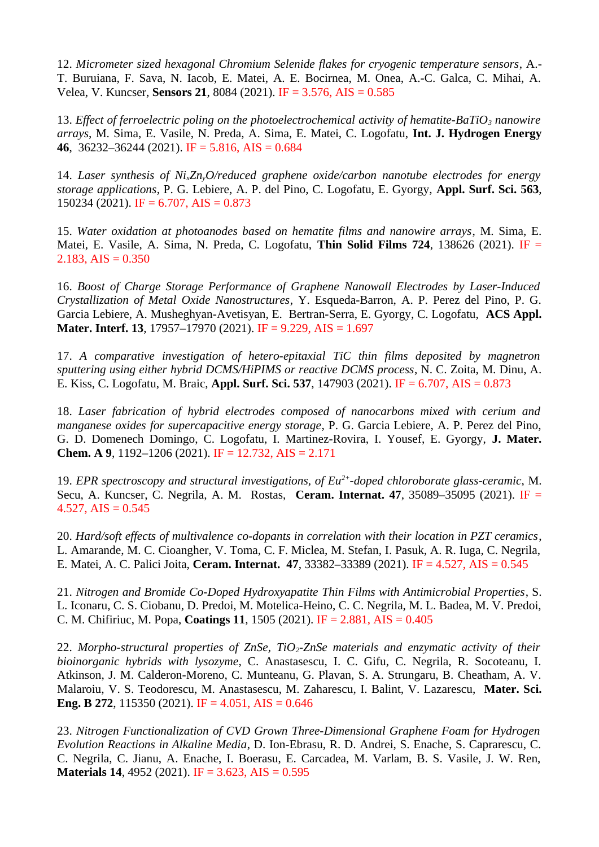12. *Micrometer sized hexagonal Chromium Selenide flakes for cryogenic temperature sensors*, A.- T. Buruiana, F. Sava, N. Iacob, E. Matei, A. E. Bocirnea, M. Onea, A.-C. Galca, C. Mihai, A. Velea, V. Kuncser, **Sensors 21**, 8084 (2021). IF = 3.576, AIS = 0.585

13. *Effect of ferroelectric poling on the photoelectrochemical activity of hematite-BaTiO3 nanowire arrays*, M. Sima, E. Vasile, N. Preda, A. Sima, E. Matei, C. Logofatu, **Int. J. Hydrogen Energy 46**, 36232–36244 (2021). IF = 5.816, AIS = 0.684

14. *Laser synthesis of NixZnyO/reduced graphene oxide/carbon nanotube electrodes for energy storage applications*, P. G. Lebiere, A. P. del Pino, C. Logofatu, E. Gyorgy, **Appl. Surf. Sci. 563**, 150234 (2021). IF = 6.707, AIS = 0.873

15. *Water oxidation at photoanodes based on hematite films and nanowire arrays*, M. Sima, E. Matei, E. Vasile, A. Sima, N. Preda, C. Logofatu, **Thin Solid Films 724**, 138626 (2021). IF = 2.183, AIS =  $0.350$ 

16. *Boost of Charge Storage Performance of Graphene Nanowall Electrodes by Laser-Induced Crystallization of Metal Oxide Nanostructures*, Y. Esqueda-Barron, A. P. Perez del Pino, P. G. Garcia Lebiere, A. Musheghyan-Avetisyan, E. Bertran-Serra, E. Gyorgy, C. Logofatu, **ACS Appl. Mater. Interf. 13**, 17957–17970 (2021). IF = 9.229, AIS = 1.697

17. *A comparative investigation of hetero-epitaxial TiC thin films deposited by magnetron sputtering using either hybrid DCMS/HiPIMS or reactive DCMS process*, N. C. Zoita, M. Dinu, A. E. Kiss, C. Logofatu, M. Braic, **Appl. Surf. Sci. 537**, 147903 (2021). IF = 6.707, AIS = 0.873

18. *Laser fabrication of hybrid electrodes composed of nanocarbons mixed with cerium and manganese oxides for supercapacitive energy storage*, P. G. Garcia Lebiere, A. P. Perez del Pino, G. D. Domenech Domingo, C. Logofatu, I. Martinez-Rovira, I. Yousef, E. Gyorgy, **J. Mater. Chem. A 9**, 1192–1206 (2021). IF = 12.732, AIS = 2.171

19. *EPR spectroscopy and structural investigations, of Eu2+-doped chloroborate glass-ceramic*, M. Secu, A. Kuncser, C. Negrila, A. M. Rostas, **Ceram. Internat. 47**, 35089–35095 (2021). IF = 4.527, AIS =  $0.545$ 

20. *Hard/soft effects of multivalence co-dopants in correlation with their location in PZT ceramics*, L. Amarande, M. C. Cioangher, V. Toma, C. F. Miclea, M. Stefan, I. Pasuk, A. R. Iuga, C. Negrila, E. Matei, A. C. Palici Joita, **Ceram. Internat. 47**, 33382–33389 (2021). IF = 4.527, AIS = 0.545

21. *Nitrogen and Bromide Co-Doped Hydroxyapatite Thin Films with Antimicrobial Properties*, S. L. Iconaru, C. S. Ciobanu, D. Predoi, M. Motelica-Heino, C. C. Negrila, M. L. Badea, M. V. Predoi, C. M. Chifiriuc, M. Popa, **Coatings 11**, 1505 (2021). IF = 2.881, AIS = 0.405

22. *Morpho-structural properties of ZnSe, TiO2-ZnSe materials and enzymatic activity of their bioinorganic hybrids with lysozyme*, C. Anastasescu, I. C. Gifu, C. Negrila, R. Socoteanu, I. Atkinson, J. M. Calderon-Moreno, C. Munteanu, G. Plavan, S. A. Strungaru, B. Cheatham, A. V. Malaroiu, V. S. Teodorescu, M. Anastasescu, M. Zaharescu, I. Balint, V. Lazarescu, **Mater. Sci. Eng. B 272**, 115350 (2021). IF = 4.051, AIS = 0.646

23. *Nitrogen Functionalization of CVD Grown Three-Dimensional Graphene Foam for Hydrogen Evolution Reactions in Alkaline Media*, D. Ion-Ebrasu, R. D. Andrei, S. Enache, S. Caprarescu, C. C. Negrila, C. Jianu, A. Enache, I. Boerasu, E. Carcadea, M. Varlam, B. S. Vasile, J. W. Ren, **Materials 14**, 4952 (2021). IF = 3.623, AIS = 0.595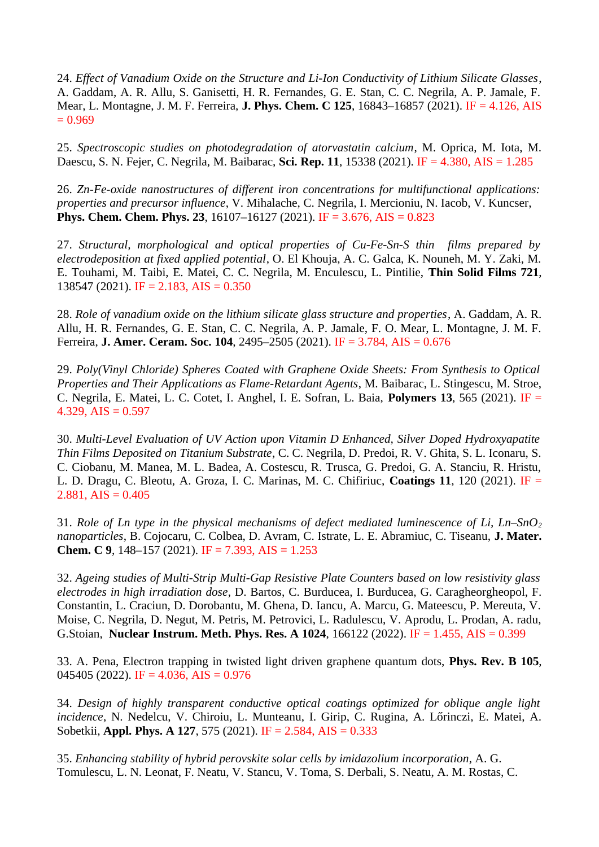24. *Effect of Vanadium Oxide on the Structure and Li-Ion Conductivity of Lithium Silicate Glasses*, A. Gaddam, A. R. Allu, S. Ganisetti, H. R. Fernandes, G. E. Stan, C. C. Negrila, A. P. Jamale, F. Mear, L. Montagne, J. M. F. Ferreira, **J. Phys. Chem. C 125**, 16843–16857 (2021). IF = 4.126, AIS  $= 0.969$ 

25. *Spectroscopic studies on photodegradation of atorvastatin calcium*, M. Oprica, M. Iota, M. Daescu, S. N. Fejer, C. Negrila, M. Baibarac, **Sci. Rep. 11**, 15338 (2021). IF = 4.380, AIS = 1.285

26. *Zn-Fe-oxide nanostructures of different iron concentrations for multifunctional applications: properties and precursor influence*, V. Mihalache, C. Negrila, I. Mercioniu, N. Iacob, V. Kuncser, **Phys. Chem. Chem. Phys. 23**, 16107–16127 (2021). IF = 3.676, AIS = 0.823

27. *Structural, morphological and optical properties of Cu-Fe-Sn-S thin films prepared by electrodeposition at fixed applied potential*, O. El Khouja, A. C. Galca, K. Nouneh, M. Y. Zaki, M. E. Touhami, M. Taibi, E. Matei, C. C. Negrila, M. Enculescu, L. Pintilie, **Thin Solid Films 721**, 138547 (2021). IF = 2.183, AIS = 0.350

28. *Role of vanadium oxide on the lithium silicate glass structure and properties*, A. Gaddam, A. R. Allu, H. R. Fernandes, G. E. Stan, C. C. Negrila, A. P. Jamale, F. O. Mear, L. Montagne, J. M. F. Ferreira, **J. Amer. Ceram. Soc. 104**, 2495–2505 (2021). IF = 3.784, AIS = 0.676

29. *Poly(Vinyl Chloride) Spheres Coated with Graphene Oxide Sheets: From Synthesis to Optical Properties and Their Applications as Flame-Retardant Agents*, M. Baibarac, L. Stingescu, M. Stroe, C. Negrila, E. Matei, L. C. Cotet, I. Anghel, I. E. Sofran, L. Baia, **Polymers 13**, 565 (2021). IF = 4.329, AIS =  $0.597$ 

30. *Multi-Level Evaluation of UV Action upon Vitamin D Enhanced, Silver Doped Hydroxyapatite Thin Films Deposited on Titanium Substrate*, C. C. Negrila, D. Predoi, R. V. Ghita, S. L. Iconaru, S. C. Ciobanu, M. Manea, M. L. Badea, A. Costescu, R. Trusca, G. Predoi, G. A. Stanciu, R. Hristu, L. D. Dragu, C. Bleotu, A. Groza, I. C. Marinas, M. C. Chifiriuc, **Coatings 11**, 120 (2021). IF = 2.881, AIS =  $0.405$ 

31. *Role of Ln type in the physical mechanisms of defect mediated luminescence of Li, Ln–SnO<sup>2</sup> nanoparticles*, B. Cojocaru, C. Colbea, D. Avram, C. Istrate, L. E. Abramiuc, C. Tiseanu, **J. Mater. Chem. C 9**, 148–157 (2021). IF = 7.393, AIS = 1.253

32. *Ageing studies of Multi-Strip Multi-Gap Resistive Plate Counters based on low resistivity glass electrodes in high irradiation dose*, D. Bartos, C. Burducea, I. Burducea, G. Caragheorgheopol, F. Constantin, L. Craciun, D. Dorobantu, M. Ghena, D. Iancu, A. Marcu, G. Mateescu, P. Mereuta, V. Moise, C. Negrila, D. Negut, M. Petris, M. Petrovici, L. Radulescu, V. Aprodu, L. Prodan, A. radu, G.Stoian, **Nuclear Instrum. Meth. Phys. Res. A 1024**, 166122 (2022). IF = 1.455, AIS = 0.399

33. A. Pena, Electron trapping in twisted light driven graphene quantum dots, **Phys. Rev. B 105**, 045405 (2022). IF = 4.036, AIS =  $0.976$ 

34. *Design of highly transparent conductive optical coatings optimized for oblique angle light incidence*, N. Nedelcu, V. Chiroiu, L. Munteanu, I. Girip, C. Rugina, A. Lőrinczi, E. Matei, A. Sobetkii, **Appl. Phys. A 127**, 575 (2021). IF = 2.584, AIS = 0.333

35. *Enhancing stability of hybrid perovskite solar cells by imidazolium incorporation*, A. G. Tomulescu, L. N. Leonat, F. Neatu, V. Stancu, V. Toma, S. Derbali, S. Neatu, A. M. Rostas, C.